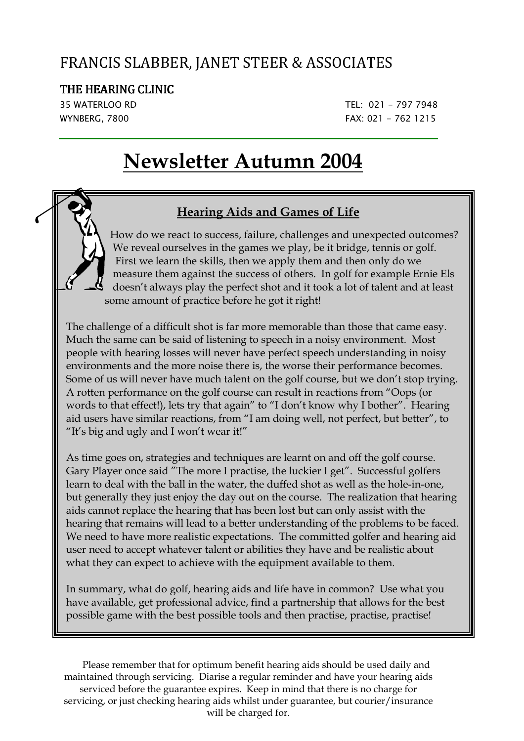### FRANCIS SLABBER, JANET STEER & ASSOCIATES

#### THE HEARING CLINIC

,

35 WATERLOO RD TEL: 021 - 797 7948 WYNBERG, 7800 **FAX: 021 - 762 1215** 

# **Newsletter Autumn 2004**

#### **Hearing Aids and Games of Life**

 How do we react to success, failure, challenges and unexpected outcomes? We reveal ourselves in the games we play, be it bridge, tennis or golf. First we learn the skills, then we apply them and then only do we measure them against the success of others. In golf for example Ernie Els doesn't always play the perfect shot and it took a lot of talent and at least some amount of practice before he got it right!

The challenge of a difficult shot is far more memorable than those that came easy. Much the same can be said of listening to speech in a noisy environment. Most people with hearing losses will never have perfect speech understanding in noisy environments and the more noise there is, the worse their performance becomes. Some of us will never have much talent on the golf course, but we don't stop trying. A rotten performance on the golf course can result in reactions from "Oops (or words to that effect!), lets try that again" to "I don't know why I bother". Hearing aid users have similar reactions, from "I am doing well, not perfect, but better", to "It's big and ugly and I won't wear it!"

As time goes on, strategies and techniques are learnt on and off the golf course. Gary Player once said "The more I practise, the luckier I get". Successful golfers learn to deal with the ball in the water, the duffed shot as well as the hole-in-one, but generally they just enjoy the day out on the course. The realization that hearing aids cannot replace the hearing that has been lost but can only assist with the hearing that remains will lead to a better understanding of the problems to be faced. We need to have more realistic expectations. The committed golfer and hearing aid user need to accept whatever talent or abilities they have and be realistic about what they can expect to achieve with the equipment available to them.

In summary, what do golf, hearing aids and life have in common? Use what you have available, get professional advice, find a partnership that allows for the best possible game with the best possible tools and then practise, practise, practise!

Please remember that for optimum benefit hearing aids should be used daily and maintained through servicing. Diarise a regular reminder and have your hearing aids serviced before the guarantee expires. Keep in mind that there is no charge for servicing, or just checking hearing aids whilst under guarantee, but courier/insurance will be charged for.